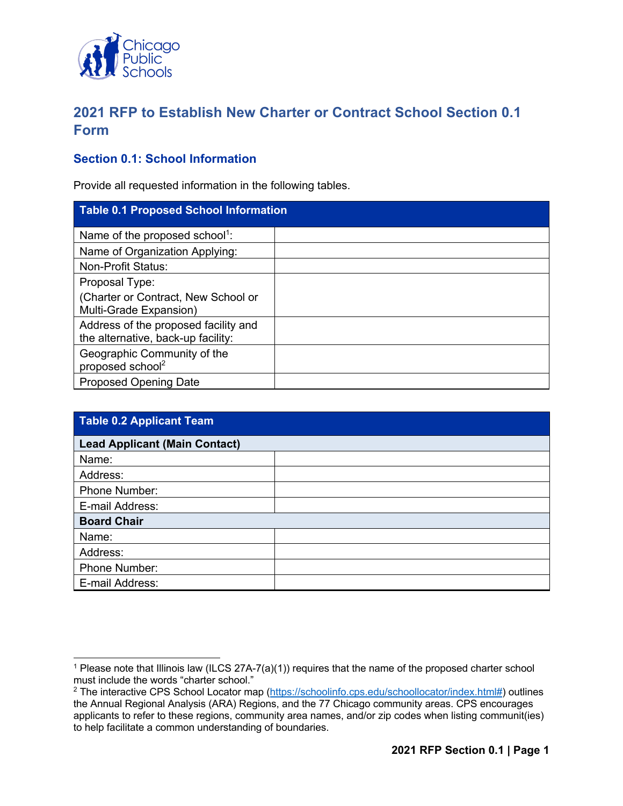

## **2021 RFP to Establish New Charter or Contract School Section 0.1 Form**

### **Section 0.1: School Information**

Provide all requested information in the following tables.

| <b>Table 0.1 Proposed School Information</b>                               |  |  |  |
|----------------------------------------------------------------------------|--|--|--|
| Name of the proposed school <sup>1</sup> :                                 |  |  |  |
| Name of Organization Applying:                                             |  |  |  |
| <b>Non-Profit Status:</b>                                                  |  |  |  |
| Proposal Type:                                                             |  |  |  |
| (Charter or Contract, New School or<br>Multi-Grade Expansion)              |  |  |  |
| Address of the proposed facility and<br>the alternative, back-up facility: |  |  |  |
| Geographic Community of the<br>proposed school <sup>2</sup>                |  |  |  |
| <b>Proposed Opening Date</b>                                               |  |  |  |

| <b>Table 0.2 Applicant Team</b>      |  |  |  |
|--------------------------------------|--|--|--|
| <b>Lead Applicant (Main Contact)</b> |  |  |  |
| Name:                                |  |  |  |
| Address:                             |  |  |  |
| Phone Number:                        |  |  |  |
| E-mail Address:                      |  |  |  |
| <b>Board Chair</b>                   |  |  |  |
| Name:                                |  |  |  |
| Address:                             |  |  |  |
| Phone Number:                        |  |  |  |
| E-mail Address:                      |  |  |  |

<sup>1</sup> Please note that Illinois law (ILCS 27A-7(a)(1)) requires that the name of the proposed charter school must include the words "charter school."

<sup>&</sup>lt;sup>2</sup> The interactive CPS School Locator map (https://schoolinfo.cps.edu/schoollocator/index.html#) outlines the Annual Regional Analysis (ARA) Regions, and the 77 Chicago community areas. CPS encourages applicants to refer to these regions, community area names, and/or zip codes when listing communit(ies) to help facilitate a common understanding of boundaries.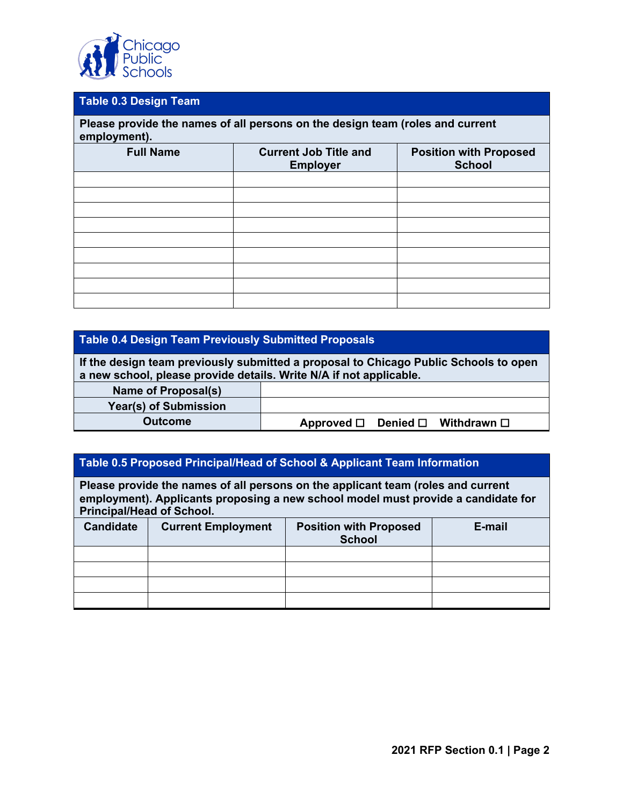

#### **Table 0.3 Design Team**

**Please provide the names of all persons on the design team (roles and current employment).** 

| <b>Full Name</b> | <b>Current Job Title and</b><br><b>Employer</b> | <b>Position with Proposed</b><br><b>School</b> |  |  |
|------------------|-------------------------------------------------|------------------------------------------------|--|--|
|                  |                                                 |                                                |  |  |
|                  |                                                 |                                                |  |  |
|                  |                                                 |                                                |  |  |
|                  |                                                 |                                                |  |  |
|                  |                                                 |                                                |  |  |
|                  |                                                 |                                                |  |  |
|                  |                                                 |                                                |  |  |
|                  |                                                 |                                                |  |  |
|                  |                                                 |                                                |  |  |

#### **Table 0.4 Design Team Previously Submitted Proposals**

**If the design team previously submitted a proposal to Chicago Public Schools to open a new school, please provide details. Write N/A if not applicable.**

| Name of Proposal(s)   |  |                                                         |  |
|-----------------------|--|---------------------------------------------------------|--|
| Year(s) of Submission |  |                                                         |  |
| <b>Outcome</b>        |  | Approved $\square$ Denied $\square$ Withdrawn $\square$ |  |

### **Table 0.5 Proposed Principal/Head of School & Applicant Team Information**

**Please provide the names of all persons on the applicant team (roles and current employment). Applicants proposing a new school model must provide a candidate for Principal/Head of School.** 

| <b>Candidate</b> | <b>Current Employment</b> | <b>Position with Proposed</b><br><b>School</b> | E-mail |
|------------------|---------------------------|------------------------------------------------|--------|
|                  |                           |                                                |        |
|                  |                           |                                                |        |
|                  |                           |                                                |        |
|                  |                           |                                                |        |